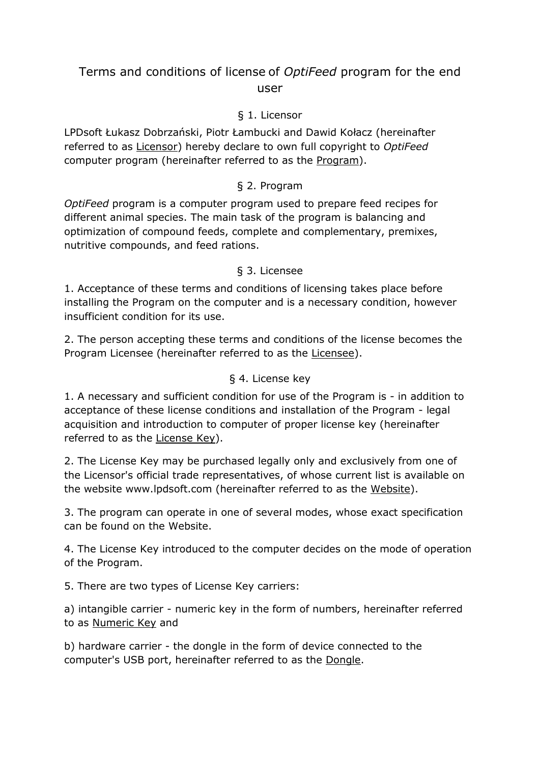# Terms and conditions of license of *OptiFeed* program for the end user

### § 1. Licensor

LPDsoft Łukasz Dobrzański, Piotr Łambucki and Dawid Kołacz (hereinafter referred to as Licensor) hereby declare to own full copyright to *OptiFeed* computer program (hereinafter referred to as the Program).

# § 2. Program

*OptiFeed* program is a computer program used to prepare feed recipes for different animal species. The main task of the program is balancing and optimization of compound feeds, complete and complementary, premixes, nutritive compounds, and feed rations.

#### § 3. Licensee

1. Acceptance of these terms and conditions of licensing takes place before installing the Program on the computer and is a necessary condition, however insufficient condition for its use.

2. The person accepting these terms and conditions of the license becomes the Program Licensee (hereinafter referred to as the Licensee).

#### § 4. License key

1. A necessary and sufficient condition for use of the Program is - in addition to acceptance of these license conditions and installation of the Program - legal acquisition and introduction to computer of proper license key (hereinafter referred to as the License Key).

2. The License Key may be purchased legally only and exclusively from one of the Licensor's official trade representatives, of whose current list is available on the website www.lpdsoft.com (hereinafter referred to as the Website).

3. The program can operate in one of several modes, whose exact specification can be found on the Website.

4. The License Key introduced to the computer decides on the mode of operation of the Program.

5. There are two types of License Key carriers:

a) intangible carrier - numeric key in the form of numbers, hereinafter referred to as Numeric Key and

b) hardware carrier - the dongle in the form of device connected to the computer's USB port, hereinafter referred to as the Dongle.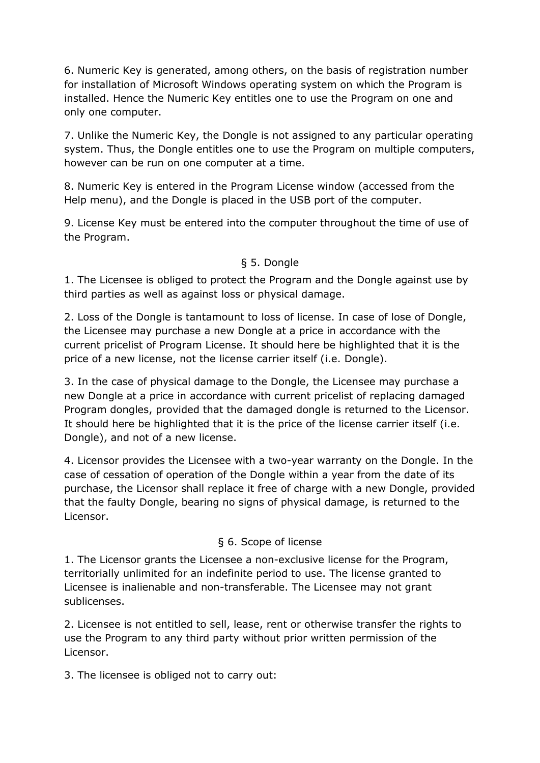6. Numeric Key is generated, among others, on the basis of registration number for installation of Microsoft Windows operating system on which the Program is installed. Hence the Numeric Key entitles one to use the Program on one and only one computer.

7. Unlike the Numeric Key, the Dongle is not assigned to any particular operating system. Thus, the Dongle entitles one to use the Program on multiple computers, however can be run on one computer at a time.

8. Numeric Key is entered in the Program License window (accessed from the Help menu), and the Dongle is placed in the USB port of the computer.

9. License Key must be entered into the computer throughout the time of use of the Program.

### § 5. Dongle

1. The Licensee is obliged to protect the Program and the Dongle against use by third parties as well as against loss or physical damage.

2. Loss of the Dongle is tantamount to loss of license. In case of lose of Dongle, the Licensee may purchase a new Dongle at a price in accordance with the current pricelist of Program License. It should here be highlighted that it is the price of a new license, not the license carrier itself (i.e. Dongle).

3. In the case of physical damage to the Dongle, the Licensee may purchase a new Dongle at a price in accordance with current pricelist of replacing damaged Program dongles, provided that the damaged dongle is returned to the Licensor. It should here be highlighted that it is the price of the license carrier itself (i.e. Dongle), and not of a new license.

4. Licensor provides the Licensee with a two-year warranty on the Dongle. In the case of cessation of operation of the Dongle within a year from the date of its purchase, the Licensor shall replace it free of charge with a new Dongle, provided that the faulty Dongle, bearing no signs of physical damage, is returned to the Licensor.

#### § 6. Scope of license

1. The Licensor grants the Licensee a non-exclusive license for the Program, territorially unlimited for an indefinite period to use. The license granted to Licensee is inalienable and non-transferable. The Licensee may not grant sublicenses.

2. Licensee is not entitled to sell, lease, rent or otherwise transfer the rights to use the Program to any third party without prior written permission of the Licensor.

3. The licensee is obliged not to carry out: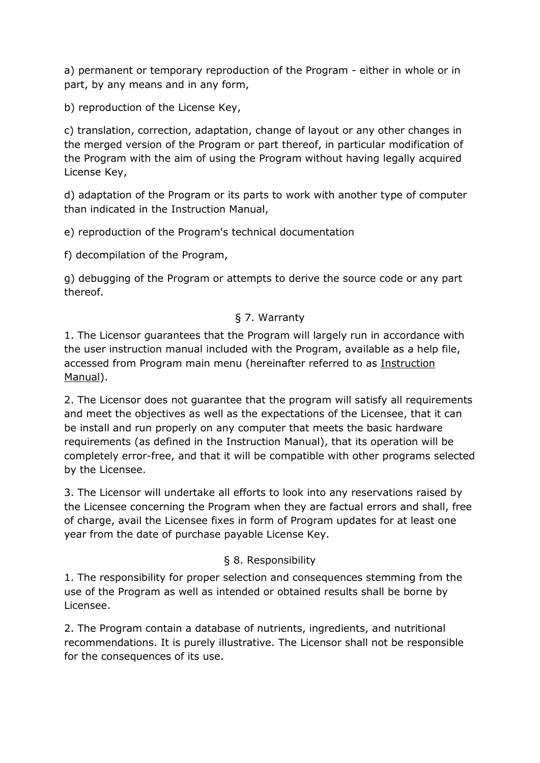a) permanent or temporary reproduction of the Program - either in whole or in part, by any means and in any form,

b) reproduction of the License Key,

c) translation, correction, adaptation, change of layout or any other changes in the merged version of the Program or part thereof, in particular modification of the Program with the aim of using the Program without having legally acquired License Key,

d) adaptation of the Program or its parts to work with another type of computer than indicated in the Instruction Manual,

e) reproduction of the Program's technical documentation

f) decompilation of the Program,

g) debugging of the Program or attempts to derive the source code or any part thereof.

# § 7. Warranty

1. The Licensor guarantees that the Program will largely run in accordance with the user instruction manual included with the Program, available as a help file, accessed from Program main menu (hereinafter referred to as Instruction Manual).

2. The Licensor does not guarantee that the program will satisfy all requirements and meet the objectives as well as the expectations of the Licensee, that it can be install and run properly on any computer that meets the basic hardware requirements (as defined in the Instruction Manual), that its operation will be completely error-free, and that it will be compatible with other programs selected by the Licensee.

3. The Licensor will undertake all efforts to look into any reservations raised by the Licensee concerning the Program when they are factual errors and shall, free of charge, avail the Licensee fixes in form of Program updates for at least one year from the date of purchase payable License Key.

# § 8. Responsibility

1. The responsibility for proper selection and consequences stemming from the use of the Program as well as intended or obtained results shall be borne by Licensee.

2. The Program contain a database of nutrients, ingredients, and nutritional recommendations. It is purely illustrative. The Licensor shall not be responsible for the consequences of its use.